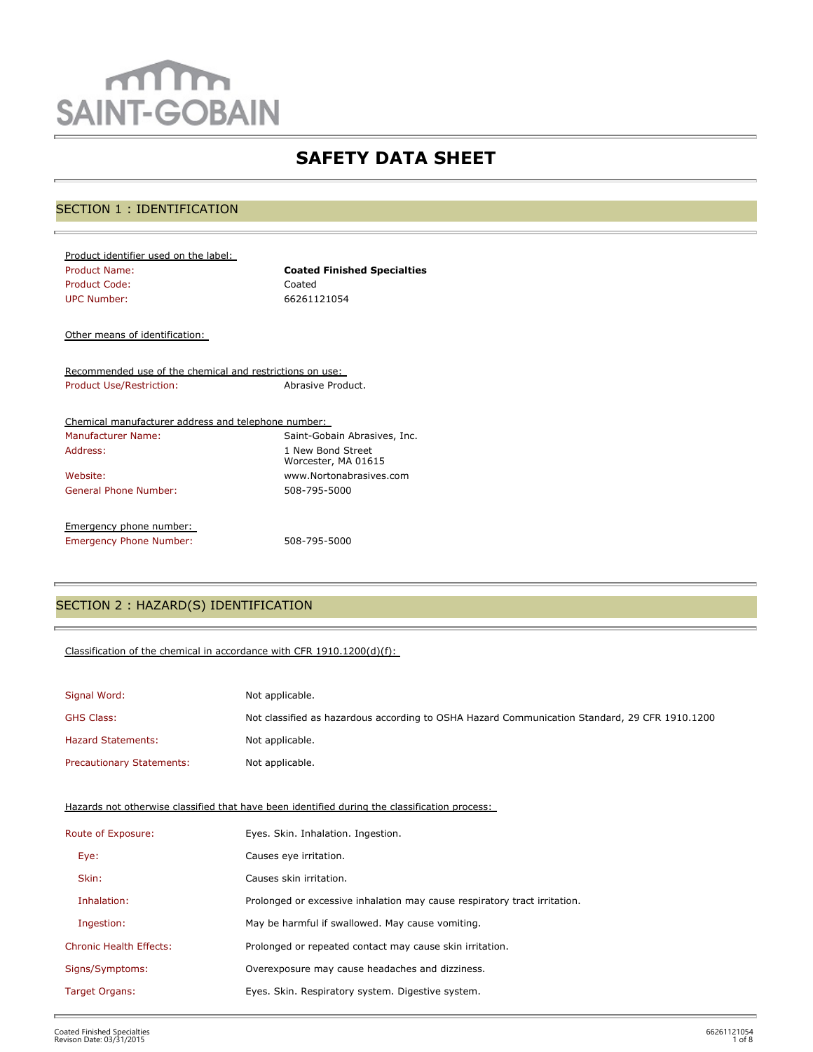# mm **SAINT-GOBAIN**

## **SAFETY DATA SHEET**

## SECTION 1 : IDENTIFICATION

| Product identifier used on the label: |                                    |
|---------------------------------------|------------------------------------|
| <b>Product Name:</b>                  | <b>Coated Finished Specialties</b> |
| Product Code:                         | Coated                             |
| <b>UPC Number:</b>                    | 66261121054                        |

Other means of identification:

Recommended use of the chemical and restrictions on use: Product Use/Restriction: Abrasive Product.

| Chemical manufacturer address and telephone number: |                                          |
|-----------------------------------------------------|------------------------------------------|
| Manufacturer Name:                                  | Saint-Gobain Abrasives, Inc.             |
| Address:                                            | 1 New Bond Street<br>Worcester, MA 01615 |
| Website:                                            | www.Nortonabrasives.com                  |
| General Phone Number:                               | 508-795-5000                             |
| Emergency phone number:                             |                                          |
| <b>Emergency Phone Number:</b>                      | 508-795-5000                             |

## SECTION 2 : HAZARD(S) IDENTIFICATION

#### Classification of the chemical in accordance with CFR 1910.1200(d)(f):

| Signal Word:                     | Not applicable.                                                                               |
|----------------------------------|-----------------------------------------------------------------------------------------------|
| <b>GHS Class:</b>                | Not classified as hazardous according to OSHA Hazard Communication Standard, 29 CFR 1910.1200 |
| <b>Hazard Statements:</b>        | Not applicable.                                                                               |
| <b>Precautionary Statements:</b> | Not applicable.                                                                               |

Hazards not otherwise classified that have been identified during the classification process:

| Route of Exposure:             | Eyes. Skin. Inhalation. Ingestion.                                        |  |  |
|--------------------------------|---------------------------------------------------------------------------|--|--|
| Eye:                           | Causes eye irritation.                                                    |  |  |
| Skin:                          | Causes skin irritation.                                                   |  |  |
| Inhalation:                    | Prolonged or excessive inhalation may cause respiratory tract irritation. |  |  |
| Ingestion:                     | May be harmful if swallowed. May cause vomiting.                          |  |  |
| <b>Chronic Health Effects:</b> | Prolonged or repeated contact may cause skin irritation.                  |  |  |
| Signs/Symptoms:                | Overexposure may cause headaches and dizziness.                           |  |  |
| Target Organs:                 | Eyes. Skin. Respiratory system. Digestive system.                         |  |  |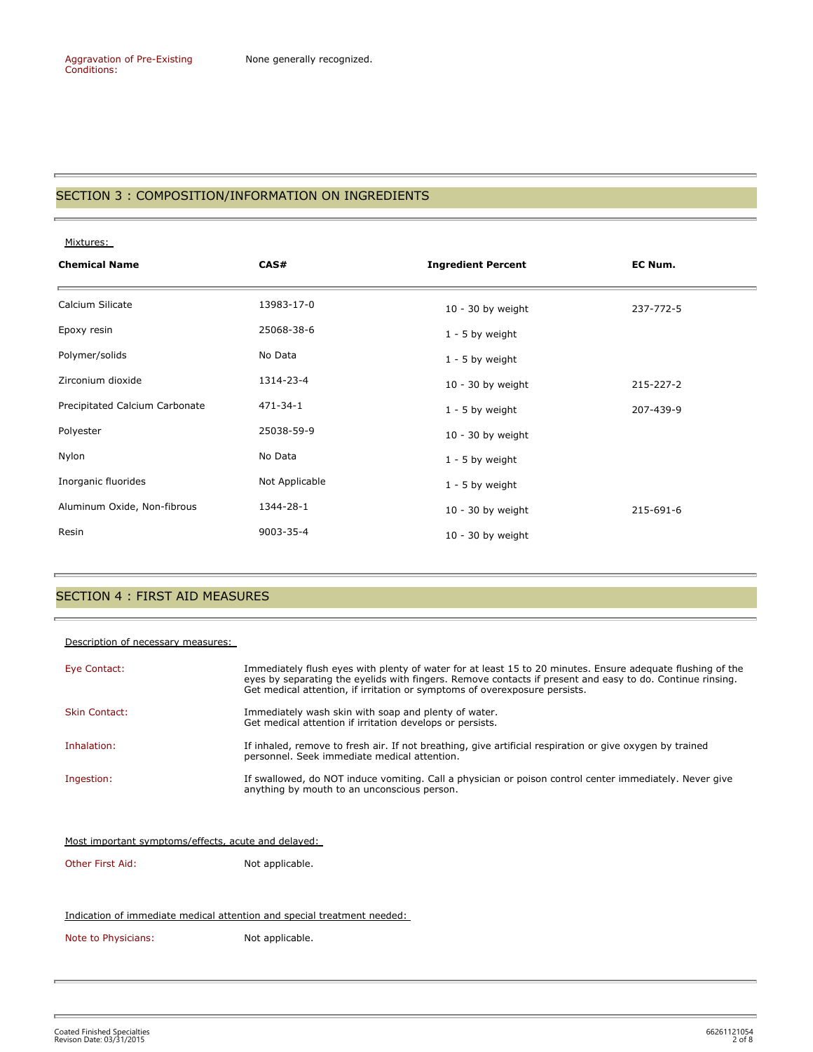#### SECTION 3 : COMPOSITION/INFORMATION ON INGREDIENTS

Mixtures:

| <b>Chemical Name</b>           | CAS#           |                     | EC Num.         |
|--------------------------------|----------------|---------------------|-----------------|
| Calcium Silicate               | 13983-17-0     | $10 - 30$ by weight | 237-772-5       |
| Epoxy resin                    | 25068-38-6     | $1 - 5$ by weight   |                 |
| Polymer/solids                 | No Data        | $1 - 5$ by weight   |                 |
| Zirconium dioxide              | 1314-23-4      | $10 - 30$ by weight | $215 - 227 - 2$ |
| Precipitated Calcium Carbonate | 471-34-1       | $1 - 5$ by weight   | 207-439-9       |
| Polyester                      | 25038-59-9     | $10 - 30$ by weight |                 |
| Nylon                          | No Data        | $1 - 5$ by weight   |                 |
| Inorganic fluorides            | Not Applicable | $1 - 5$ by weight   |                 |
| Aluminum Oxide, Non-fibrous    | 1344-28-1      | $10 - 30$ by weight | 215-691-6       |
| Resin                          | 9003-35-4      | $10 - 30$ by weight |                 |

## SECTION 4 : FIRST AID MEASURES

#### Description of necessary measures:

b

| Eye Contact:         | Immediately flush eyes with plenty of water for at least 15 to 20 minutes. Ensure adequate flushing of the<br>eyes by separating the eyelids with fingers. Remove contacts if present and easy to do. Continue rinsing.<br>Get medical attention, if irritation or symptoms of overexposure persists. |
|----------------------|-------------------------------------------------------------------------------------------------------------------------------------------------------------------------------------------------------------------------------------------------------------------------------------------------------|
| <b>Skin Contact:</b> | Immediately wash skin with soap and plenty of water.<br>Get medical attention if irritation develops or persists.                                                                                                                                                                                     |
| Inhalation:          | If inhaled, remove to fresh air. If not breathing, give artificial respiration or give oxygen by trained<br>personnel. Seek immediate medical attention.                                                                                                                                              |
| Ingestion:           | If swallowed, do NOT induce vomiting. Call a physician or poison control center immediately. Never give<br>anything by mouth to an unconscious person.                                                                                                                                                |

Most important symptoms/effects, acute and delayed:

Other First Aid: Not applicable.

#### Indication of immediate medical attention and special treatment needed:

Note to Physicians: Not applicable.

Coated Finished Specialties 66261121054 Revison Date: 03/31/2015 2 of 8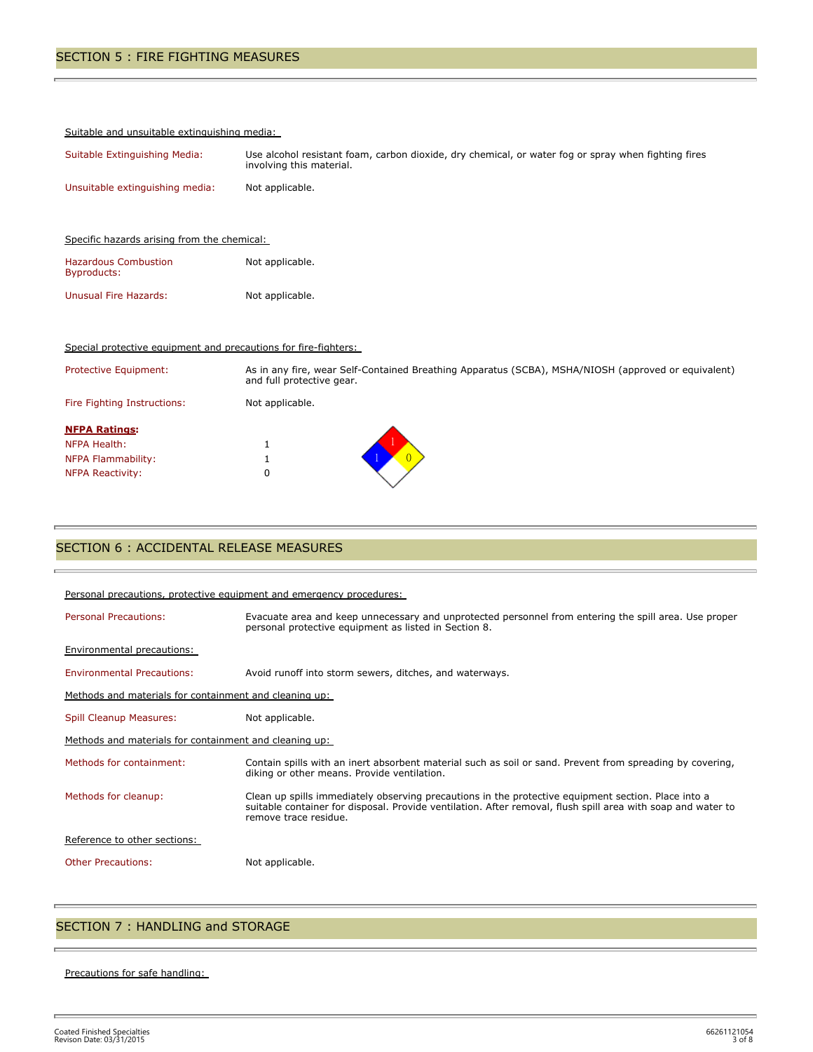#### Suitable and unsuitable extinguishing media:

| Suitable Extinguishing Media:   | Use alcohol resistant foam, carbon dioxide, dry chemical, or water fog or spray when fighting fires<br>involving this material. |
|---------------------------------|---------------------------------------------------------------------------------------------------------------------------------|
| Unsuitable extinguishing media: | Not applicable.                                                                                                                 |

| Specific hazards arising from the chemical: |                 |  |  |  |
|---------------------------------------------|-----------------|--|--|--|
| <b>Hazardous Combustion</b><br>Byproducts:  | Not applicable. |  |  |  |
| Unusual Fire Hazards:                       | Not applicable. |  |  |  |

#### Special protective equipment and precautions for fire-fighters:

| Protective Equipment:                                                                 | As in any fire, wear Self-Contained Breathing Apparatus (SCBA), MSHA/NIOSH (approved or equivalent)<br>and full protective gear. |  |
|---------------------------------------------------------------------------------------|----------------------------------------------------------------------------------------------------------------------------------|--|
| Fire Fighting Instructions:                                                           | Not applicable.                                                                                                                  |  |
| <b>NFPA Ratings:</b><br>NFPA Health:<br>NFPA Flammability:<br><b>NFPA Reactivity:</b> | 0                                                                                                                                |  |

## SECTION 6 : ACCIDENTAL RELEASE MEASURES

| Personal precautions, protective equipment and emergency procedures: |                                                                                                                                                                                                                                              |  |  |  |
|----------------------------------------------------------------------|----------------------------------------------------------------------------------------------------------------------------------------------------------------------------------------------------------------------------------------------|--|--|--|
| <b>Personal Precautions:</b>                                         | Evacuate area and keep unnecessary and unprotected personnel from entering the spill area. Use proper<br>personal protective equipment as listed in Section 8.                                                                               |  |  |  |
| <b>Environmental precautions:</b>                                    |                                                                                                                                                                                                                                              |  |  |  |
| <b>Environmental Precautions:</b>                                    | Avoid runoff into storm sewers, ditches, and waterways.                                                                                                                                                                                      |  |  |  |
| Methods and materials for containment and cleaning up:               |                                                                                                                                                                                                                                              |  |  |  |
| Spill Cleanup Measures:                                              | Not applicable.                                                                                                                                                                                                                              |  |  |  |
| Methods and materials for containment and cleaning up:               |                                                                                                                                                                                                                                              |  |  |  |
| Methods for containment:                                             | Contain spills with an inert absorbent material such as soil or sand. Prevent from spreading by covering,<br>diking or other means. Provide ventilation.                                                                                     |  |  |  |
| Methods for cleanup:                                                 | Clean up spills immediately observing precautions in the protective equipment section. Place into a<br>suitable container for disposal. Provide ventilation. After removal, flush spill area with soap and water to<br>remove trace residue. |  |  |  |
| Reference to other sections:                                         |                                                                                                                                                                                                                                              |  |  |  |
| <b>Other Precautions:</b>                                            | Not applicable.                                                                                                                                                                                                                              |  |  |  |

### SECTION 7 : HANDLING and STORAGE

#### Precautions for safe handling:

Ē.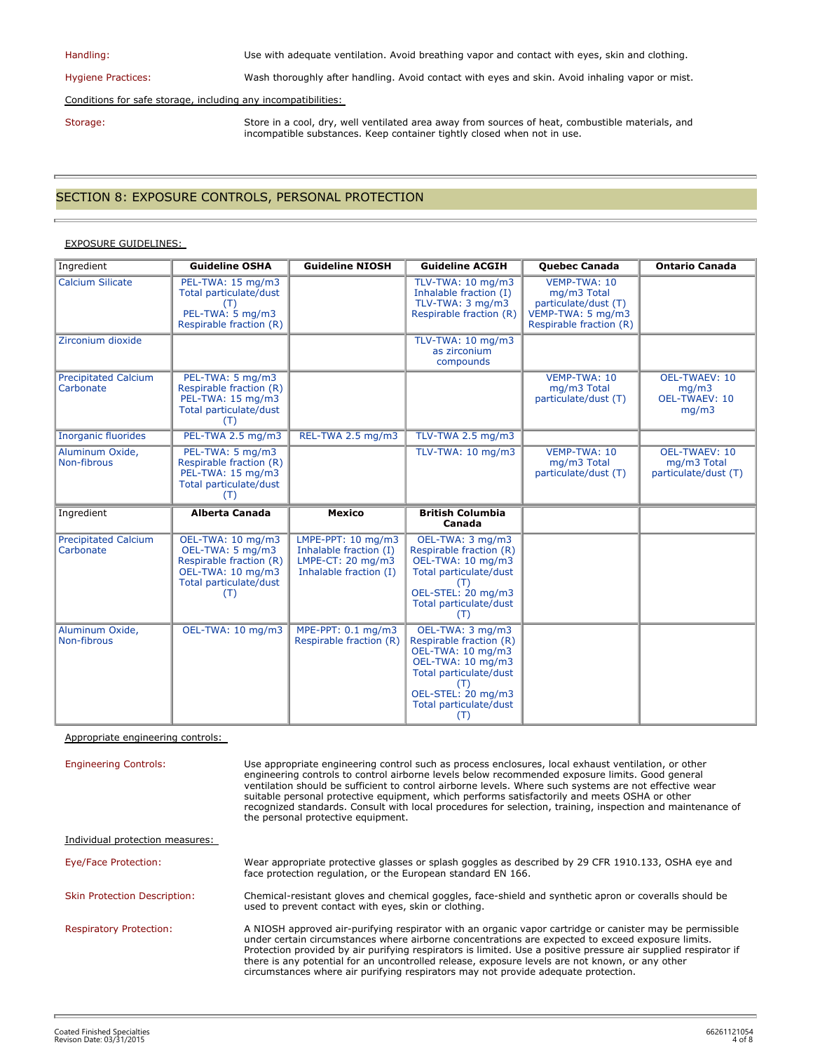| Handling:                                                     | Use with adequate ventilation. Avoid breathing vapor and contact with eyes, skin and clothing.                                                                              |  |  |  |
|---------------------------------------------------------------|-----------------------------------------------------------------------------------------------------------------------------------------------------------------------------|--|--|--|
| <b>Hygiene Practices:</b>                                     | Wash thoroughly after handling. Avoid contact with eyes and skin. Avoid inhaling vapor or mist.                                                                             |  |  |  |
| Conditions for safe storage, including any incompatibilities: |                                                                                                                                                                             |  |  |  |
| Storage:                                                      | Store in a cool, dry, well ventilated area away from sources of heat, combustible materials, and<br>incompatible substances. Keep container tightly closed when not in use. |  |  |  |

## SECTION 8: EXPOSURE CONTROLS, PERSONAL PROTECTION

#### EXPOSURE GUIDELINES:

| Ingredient                               | <b>Guideline OSHA</b>                                                                                                  | <b>Guideline NIOSH</b>                                                                                 | <b>Guideline ACGIH</b>                                                                                                                                                        | <b>Ouebec Canada</b>                                                                                | <b>Ontario Canada</b>                                          |
|------------------------------------------|------------------------------------------------------------------------------------------------------------------------|--------------------------------------------------------------------------------------------------------|-------------------------------------------------------------------------------------------------------------------------------------------------------------------------------|-----------------------------------------------------------------------------------------------------|----------------------------------------------------------------|
| <b>Calcium Silicate</b>                  | PEL-TWA: 15 mg/m3<br>Total particulate/dust<br>PEL-TWA: 5 mg/m3<br>Respirable fraction (R)                             |                                                                                                        | TLV-TWA: 10 mg/m3<br>Inhalable fraction (I)<br>TLV-TWA: 3 mg/m3<br>Respirable fraction (R)                                                                                    | VEMP-TWA: 10<br>mg/m3 Total<br>particulate/dust (T)<br>VEMP-TWA: 5 mg/m3<br>Respirable fraction (R) |                                                                |
| Zirconium dioxide                        |                                                                                                                        |                                                                                                        | TLV-TWA: 10 mg/m3<br>as zirconium<br>compounds                                                                                                                                |                                                                                                     |                                                                |
| <b>Precipitated Calcium</b><br>Carbonate | PEL-TWA: 5 mg/m3<br>Respirable fraction (R)<br>PEL-TWA: 15 mg/m3<br>Total particulate/dust<br>(T)                      |                                                                                                        |                                                                                                                                                                               | VEMP-TWA: 10<br>mg/m3 Total<br>particulate/dust (T)                                                 | <b>OEL-TWAEV: 10</b><br>mq/m3<br><b>OEL-TWAEV: 10</b><br>mq/m3 |
| <b>Inorganic fluorides</b>               | PEL-TWA 2.5 mg/m3                                                                                                      | REL-TWA 2.5 mg/m3                                                                                      | TLV-TWA 2.5 mg/m3                                                                                                                                                             |                                                                                                     |                                                                |
| Aluminum Oxide,<br>Non-fibrous           | PEL-TWA: 5 mg/m3<br>Respirable fraction (R)<br>PEL-TWA: 15 mg/m3<br>Total particulate/dust<br>(T)                      |                                                                                                        | TLV-TWA: 10 mg/m3                                                                                                                                                             | VEMP-TWA: 10<br>mg/m3 Total<br>particulate/dust (T)                                                 | <b>OEL-TWAEV: 10</b><br>mg/m3 Total<br>particulate/dust (T)    |
| Ingredient                               | <b>Alberta Canada</b>                                                                                                  | <b>Mexico</b>                                                                                          | <b>British Columbia</b><br>Canada                                                                                                                                             |                                                                                                     |                                                                |
| <b>Precipitated Calcium</b><br>Carbonate | OEL-TWA: 10 mg/m3<br>OEL-TWA: 5 mg/m3<br>Respirable fraction (R)<br>OEL-TWA: 10 mg/m3<br>Total particulate/dust<br>(T) | LMPE-PPT: 10 mg/m3<br>Inhalable fraction (I)<br>LMPE-CT: $20 \text{ mg/m}$ 3<br>Inhalable fraction (I) | OEL-TWA: 3 mg/m3<br>Respirable fraction (R)<br>OEL-TWA: 10 mg/m3<br>Total particulate/dust<br>(T)<br>OEL-STEL: 20 mg/m3<br>Total particulate/dust<br>(T)                      |                                                                                                     |                                                                |
| Aluminum Oxide,<br>Non-fibrous           | OEL-TWA: 10 mg/m3                                                                                                      | MPE-PPT: 0.1 mg/m3<br>Respirable fraction (R)                                                          | OEL-TWA: 3 mg/m3<br>Respirable fraction (R)<br>OEL-TWA: 10 mg/m3<br>OEL-TWA: 10 mg/m3<br>Total particulate/dust<br>(T)<br>OEL-STEL: 20 mg/m3<br>Total particulate/dust<br>(T) |                                                                                                     |                                                                |

Appropriate engineering controls:

Engineering Controls: Use appropriate engineering control such as process enclosures, local exhaust ventilation, or other engineering controls to control airborne levels below recommended exposure limits. Good general ventilation should be sufficient to control airborne levels. Where such systems are not effective wear suitable personal protective equipment, which performs satisfactorily and meets OSHA or other recognized standards. Consult with local procedures for selection, training, inspection and maintenance of the personal protective equipment. Individual protection measures: Eye/Face Protection: Wear appropriate protective glasses or splash goggles as described by 29 CFR 1910.133, OSHA eye and face protection regulation, or the European standard EN 166. Skin Protection Description: Chemical-resistant gloves and chemical goggles, face-shield and synthetic apron or coveralls should be used to prevent contact with eyes, skin or clothing. Respiratory Protection: A NIOSH approved air-purifying respirator with an organic vapor cartridge or canister may be permissible under certain circumstances where airborne concentrations are expected to exceed exposure limits. Protection provided by air purifying respirators is limited. Use a positive pressure air supplied respirator if there is any potential for an uncontrolled release, exposure levels are not known, or any other circumstances where air purifying respirators may not provide adequate protection.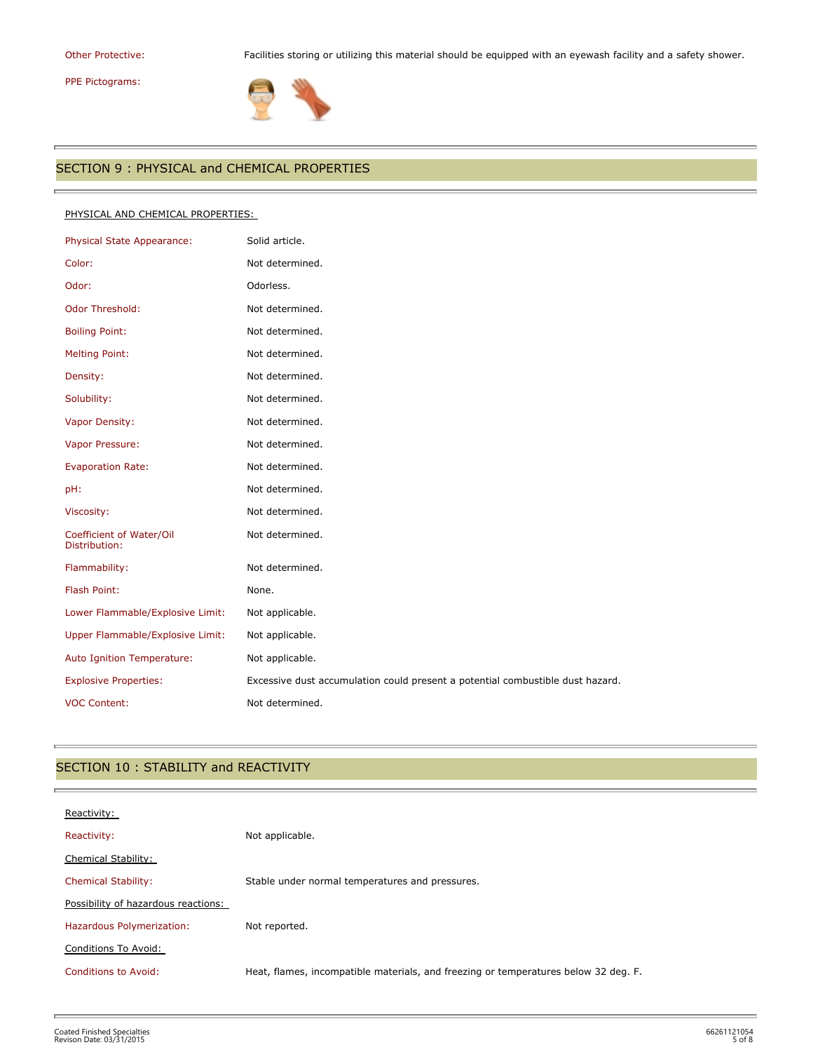# PPE Pictograms:

r.

Other Protective: Facilities storing or utilizing this material should be equipped with an eyewash facility and a safety shower.



## SECTION 9 : PHYSICAL and CHEMICAL PROPERTIES

#### PHYSICAL AND CHEMICAL PROPERTIES:

| Physical State Appearance:                | Solid article.                                                                 |
|-------------------------------------------|--------------------------------------------------------------------------------|
| Color:                                    | Not determined.                                                                |
| Odor:                                     | Odorless.                                                                      |
| <b>Odor Threshold:</b>                    | Not determined.                                                                |
| <b>Boiling Point:</b>                     | Not determined.                                                                |
| <b>Melting Point:</b>                     | Not determined.                                                                |
| Density:                                  | Not determined.                                                                |
| Solubility:                               | Not determined.                                                                |
| Vapor Density:                            | Not determined.                                                                |
| Vapor Pressure:                           | Not determined.                                                                |
| <b>Evaporation Rate:</b>                  | Not determined.                                                                |
| pH:                                       | Not determined.                                                                |
| Viscosity:                                | Not determined.                                                                |
| Coefficient of Water/Oil<br>Distribution: | Not determined.                                                                |
| Flammability:                             | Not determined.                                                                |
| Flash Point:                              | None.                                                                          |
| Lower Flammable/Explosive Limit:          | Not applicable.                                                                |
| Upper Flammable/Explosive Limit:          | Not applicable.                                                                |
| Auto Ignition Temperature:                | Not applicable.                                                                |
| <b>Explosive Properties:</b>              | Excessive dust accumulation could present a potential combustible dust hazard. |
| <b>VOC Content:</b>                       | Not determined.                                                                |

## SECTION 10 : STABILITY and REACTIVITY

| Reactivity:                         |                                                                                     |
|-------------------------------------|-------------------------------------------------------------------------------------|
| Reactivity:                         | Not applicable.                                                                     |
| Chemical Stability:                 |                                                                                     |
| <b>Chemical Stability:</b>          | Stable under normal temperatures and pressures.                                     |
| Possibility of hazardous reactions: |                                                                                     |
| Hazardous Polymerization:           | Not reported.                                                                       |
| Conditions To Avoid:                |                                                                                     |
| Conditions to Avoid:                | Heat, flames, incompatible materials, and freezing or temperatures below 32 deg. F. |
|                                     |                                                                                     |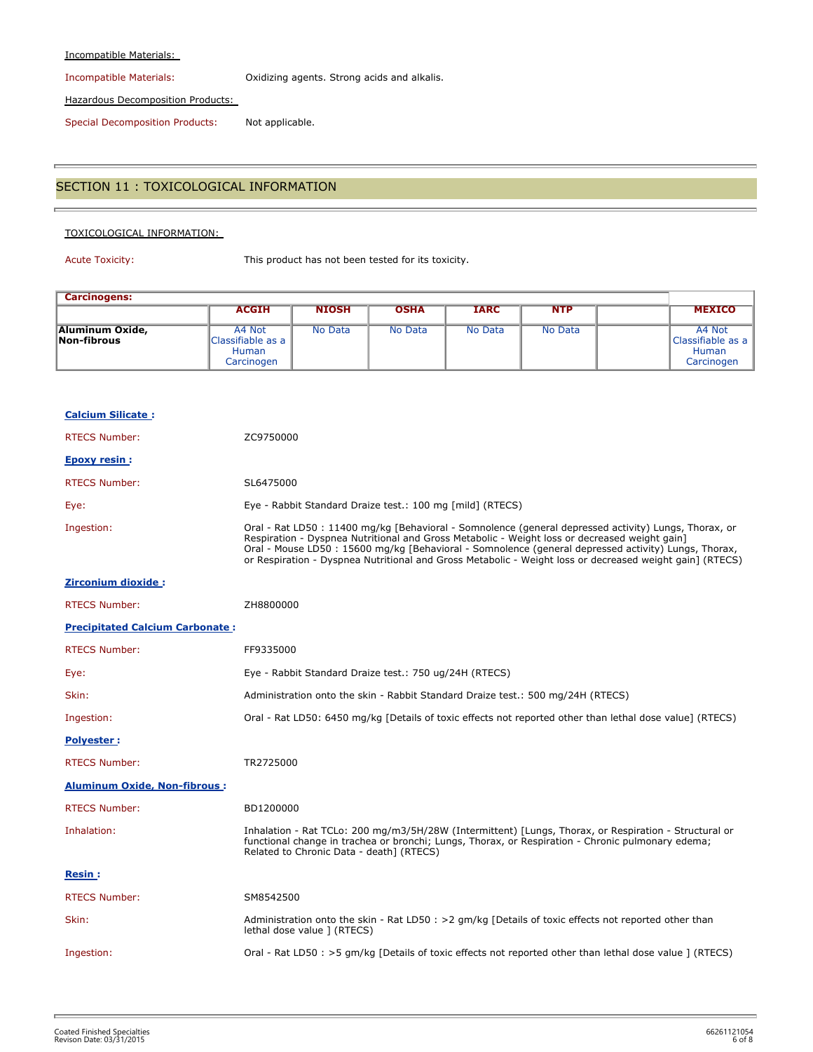#### Incompatible Materials:

Incompatible Materials: Oxidizing agents. Strong acids and alkalis.

Hazardous Decomposition Products:

Special Decomposition Products: Not applicable.

## SECTION 11 : TOXICOLOGICAL INFORMATION

#### TOXICOLOGICAL INFORMATION:

Acute Toxicity: This product has not been tested for its toxicity.

| <b>Carcinogens:</b>            |                                                           |              |             |             |            |                                                           |
|--------------------------------|-----------------------------------------------------------|--------------|-------------|-------------|------------|-----------------------------------------------------------|
|                                | <b>ACGIH</b>                                              | <b>NIOSH</b> | <b>OSHA</b> | <b>IARC</b> | <b>NTP</b> | <b>MEXICO</b>                                             |
| Aluminum Oxide,<br>Non-fibrous | A4 Not<br>Classifiable as a<br><b>Human</b><br>Carcinogen | No Data      | No Data     | No Data     | No Data    | A4 Not<br>Classifiable as a<br><b>Human</b><br>Carcinogen |

| <b>Calcium Silicate:</b>               |                                                                                                                                                                                                                                                                                                                                                                                                                           |
|----------------------------------------|---------------------------------------------------------------------------------------------------------------------------------------------------------------------------------------------------------------------------------------------------------------------------------------------------------------------------------------------------------------------------------------------------------------------------|
| <b>RTECS Number:</b>                   | ZC9750000                                                                                                                                                                                                                                                                                                                                                                                                                 |
| <b>Epoxy resin:</b>                    |                                                                                                                                                                                                                                                                                                                                                                                                                           |
| <b>RTECS Number:</b>                   | SL6475000                                                                                                                                                                                                                                                                                                                                                                                                                 |
| Eye:                                   | Eye - Rabbit Standard Draize test.: 100 mg [mild] (RTECS)                                                                                                                                                                                                                                                                                                                                                                 |
| Ingestion:                             | Oral - Rat LD50: 11400 mg/kg [Behavioral - Somnolence (general depressed activity) Lungs, Thorax, or<br>Respiration - Dyspnea Nutritional and Gross Metabolic - Weight loss or decreased weight gain]<br>Oral - Mouse LD50 : 15600 mg/kg [Behavioral - Somnolence (general depressed activity) Lungs, Thorax,<br>or Respiration - Dyspnea Nutritional and Gross Metabolic - Weight loss or decreased weight gain] (RTECS) |
| Zirconium dioxide:                     |                                                                                                                                                                                                                                                                                                                                                                                                                           |
| <b>RTECS Number:</b>                   | ZH8800000                                                                                                                                                                                                                                                                                                                                                                                                                 |
| <b>Precipitated Calcium Carbonate:</b> |                                                                                                                                                                                                                                                                                                                                                                                                                           |
| <b>RTECS Number:</b>                   | FF9335000                                                                                                                                                                                                                                                                                                                                                                                                                 |
| Eye:                                   | Eye - Rabbit Standard Draize test.: 750 ug/24H (RTECS)                                                                                                                                                                                                                                                                                                                                                                    |
| Skin:                                  | Administration onto the skin - Rabbit Standard Draize test.: 500 mg/24H (RTECS)                                                                                                                                                                                                                                                                                                                                           |
| Ingestion:                             | Oral - Rat LD50: 6450 mg/kg [Details of toxic effects not reported other than lethal dose value] (RTECS)                                                                                                                                                                                                                                                                                                                  |
| <b>Polyester:</b>                      |                                                                                                                                                                                                                                                                                                                                                                                                                           |
| <b>RTECS Number:</b>                   | TR2725000                                                                                                                                                                                                                                                                                                                                                                                                                 |
| <b>Aluminum Oxide, Non-fibrous:</b>    |                                                                                                                                                                                                                                                                                                                                                                                                                           |
| <b>RTECS Number:</b>                   | BD1200000                                                                                                                                                                                                                                                                                                                                                                                                                 |
| Inhalation:                            | Inhalation - Rat TCLo: 200 mg/m3/5H/28W (Intermittent) [Lungs, Thorax, or Respiration - Structural or<br>functional change in trachea or bronchi; Lungs, Thorax, or Respiration - Chronic pulmonary edema;<br>Related to Chronic Data - death] (RTECS)                                                                                                                                                                    |
| Resin :                                |                                                                                                                                                                                                                                                                                                                                                                                                                           |
| <b>RTECS Number:</b>                   | SM8542500                                                                                                                                                                                                                                                                                                                                                                                                                 |
| Skin:                                  | Administration onto the skin - Rat LD50 : > 2 gm/kg [Details of toxic effects not reported other than<br>lethal dose value ] (RTECS)                                                                                                                                                                                                                                                                                      |
| Ingestion:                             | Oral - Rat LD50 : >5 $gm/kg$ [Details of toxic effects not reported other than lethal dose value ] (RTECS)                                                                                                                                                                                                                                                                                                                |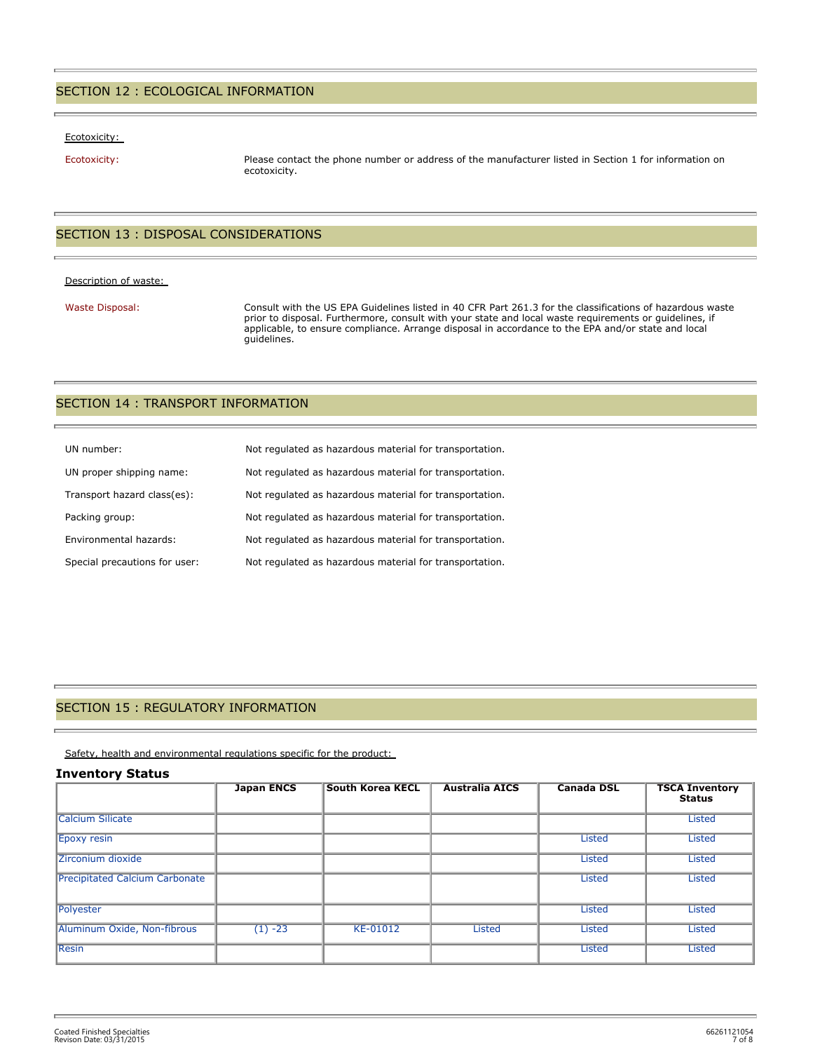#### SECTION 12 : ECOLOGICAL INFORMATION

#### Ecotoxicity:

Ecotoxicity: Please contact the phone number or address of the manufacturer listed in Section 1 for information on ecotoxicity.

## SECTION 13 : DISPOSAL CONSIDERATIONS

#### Description of waste:

Waste Disposal: Consult with the US EPA Guidelines listed in 40 CFR Part 261.3 for the classifications of hazardous waste prior to disposal. Furthermore, consult with your state and local waste requirements or guidelines, if applicable, to ensure compliance. Arrange disposal in accordance to the EPA and/or state and local guidelines.

#### SECTION 14 : TRANSPORT INFORMATION

| UN number:                    | Not regulated as hazardous material for transportation. |
|-------------------------------|---------------------------------------------------------|
| UN proper shipping name:      | Not regulated as hazardous material for transportation. |
| Transport hazard class(es):   | Not regulated as hazardous material for transportation. |
| Packing group:                | Not regulated as hazardous material for transportation. |
| Environmental hazards:        | Not regulated as hazardous material for transportation. |
| Special precautions for user: | Not regulated as hazardous material for transportation. |

#### SECTION 15 : REGULATORY INFORMATION

Safety, health and environmental regulations specific for the product:

#### **Inventory Status**

|                                       | <b>Japan ENCS</b> | <b>South Korea KECL</b> | <b>Australia AICS</b> | <b>Canada DSL</b> | <b>TSCA Inventory</b><br><b>Status</b> |
|---------------------------------------|-------------------|-------------------------|-----------------------|-------------------|----------------------------------------|
| <b>Calcium Silicate</b>               |                   |                         |                       |                   | <b>Listed</b>                          |
| <b>Epoxy resin</b>                    |                   |                         |                       | Listed            | <b>Listed</b>                          |
| Zirconium dioxide                     |                   |                         |                       | Listed            | <b>Listed</b>                          |
| <b>Precipitated Calcium Carbonate</b> |                   |                         |                       | Listed            | <b>Listed</b>                          |
| Polyester                             |                   |                         |                       | <b>Listed</b>     | <b>Listed</b>                          |
| Aluminum Oxide, Non-fibrous           | $(1) -23$         | KE-01012                | <b>Listed</b>         | <b>Listed</b>     | <b>Listed</b>                          |
| <b>Resin</b>                          |                   |                         |                       | <b>Listed</b>     | <b>Listed</b>                          |